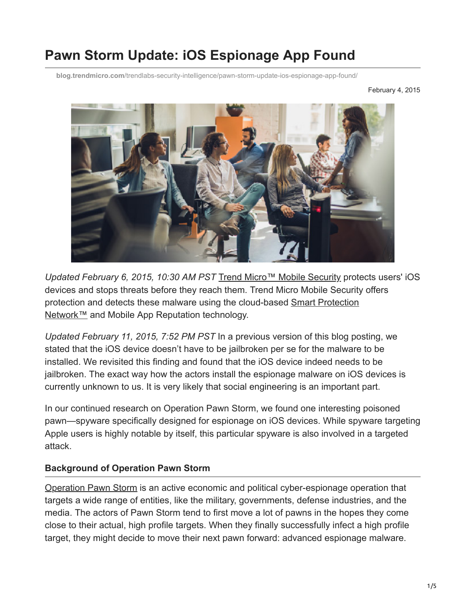# **Pawn Storm Update: iOS Espionage App Found**

**blog.trendmicro.com**[/trendlabs-security-intelligence/pawn-storm-update-ios-espionage-app-found/](https://blog.trendmicro.com/trendlabs-security-intelligence/pawn-storm-update-ios-espionage-app-found/)

February 4, 2015



*Updated February 6, 2015, 10:30 AM PST* [Trend Micro™ Mobile Security](https://blog.trendmicro.com/en_us/forHome/products/mobile-security.html) protects users' iOS devices and stops threats before they reach them. Trend Micro Mobile Security offers [protection and detects these malware using the cloud-based Smart Protection](https://blog.trendmicro.com/en_us/business/capabilities/solutions-for/cloud.html) Network™ and Mobile App Reputation technology.

*Updated February 11, 2015, 7:52 PM PST* In a previous version of this blog posting, we stated that the iOS device doesn't have to be jailbroken per se for the malware to be installed. We revisited this finding and found that the iOS device indeed needs to be jailbroken. The exact way how the actors install the espionage malware on iOS devices is currently unknown to us. It is very likely that social engineering is an important part.

In our continued research on Operation Pawn Storm, we found one interesting poisoned pawn—spyware specifically designed for espionage on iOS devices. While spyware targeting Apple users is highly notable by itself, this particular spyware is also involved in a targeted attack.

#### **Background of Operation Pawn Storm**

[Operation Pawn Storm](http://www.trendmicro.com/vinfo/tmr/?/us/security/news/cyber-attacks/pawn-storm-espionage-attacks-use-decoys-deliver-sednit) is an active economic and political cyber-espionage operation that targets a wide range of entities, like the military, governments, defense industries, and the media. The actors of Pawn Storm tend to first move a lot of pawns in the hopes they come close to their actual, high profile targets. When they finally successfully infect a high profile target, they might decide to move their next pawn forward: advanced espionage malware.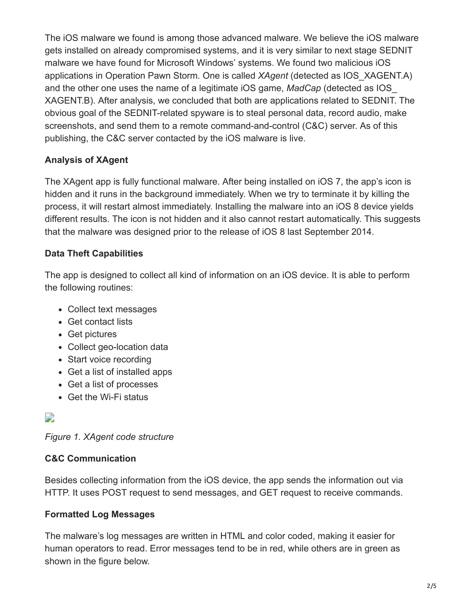The iOS malware we found is among those advanced malware. We believe the iOS malware gets installed on already compromised systems, and it is very similar to next stage SEDNIT malware we have found for Microsoft Windows' systems. We found two malicious iOS applications in Operation Pawn Storm. One is called *XAgent* (detected as IOS\_XAGENT.A) and the other one uses the name of a legitimate iOS game, *MadCap* (detected as IOS\_ XAGENT.B). After analysis, we concluded that both are applications related to SEDNIT. The obvious goal of the SEDNIT-related spyware is to steal personal data, record audio, make screenshots, and send them to a remote command-and-control (C&C) server. As of this publishing, the C&C server contacted by the iOS malware is live.

#### **Analysis of XAgent**

The XAgent app is fully functional malware. After being installed on iOS 7, the app's icon is hidden and it runs in the background immediately. When we try to terminate it by killing the process, it will restart almost immediately. Installing the malware into an iOS 8 device yields different results. The icon is not hidden and it also cannot restart automatically. This suggests that the malware was designed prior to the release of iOS 8 last September 2014.

#### **Data Theft Capabilities**

The app is designed to collect all kind of information on an iOS device. It is able to perform the following routines:

- Collect text messages
- Get contact lists
- Get pictures
- Collect geo-location data
- Start voice recording
- Get a list of installed apps
- Get a list of processes
- Get the Wi-Fi status

## $\overline{\phantom{a}}$

*Figure 1. XAgent code structure*

### **C&C Communication**

Besides collecting information from the iOS device, the app sends the information out via HTTP. It uses POST request to send messages, and GET request to receive commands.

### **Formatted Log Messages**

The malware's log messages are written in HTML and color coded, making it easier for human operators to read. Error messages tend to be in red, while others are in green as shown in the figure below.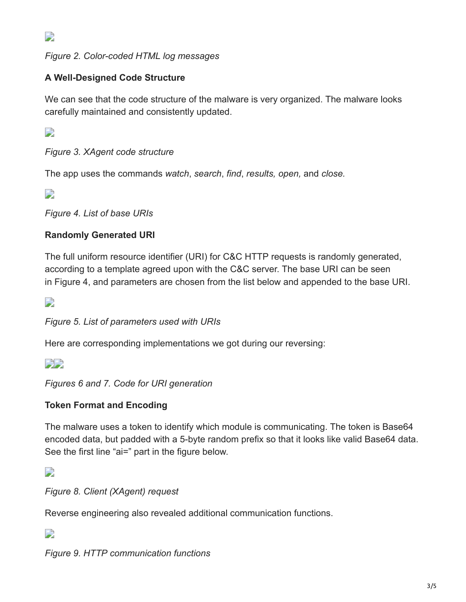$\overline{\phantom{a}}$ 

*Figure 2. Color-coded HTML log messages*

### **A Well-Designed Code Structure**

We can see that the code structure of the malware is very organized. The malware looks carefully maintained and consistently updated.

 $\overline{\phantom{a}}$ 

*Figure 3. XAgent code structure*

The app uses the commands *watch*, *search*, *find*, *results, open,* and *close.*

 $\Box$ 

*Figure 4. List of base URIs*

#### **Randomly Generated URI**

The full uniform resource identifier (URI) for C&C HTTP requests is randomly generated, according to a template agreed upon with the C&C server. The base URI can be seen in Figure 4, and parameters are chosen from the list below and appended to the base URI.

 $\Box$ 

*Figure 5. List of parameters used with URIs*

Here are corresponding implementations we got during our reversing:

**DE** 

*Figures 6 and 7. Code for URI generation*

#### **Token Format and Encoding**

The malware uses a token to identify which module is communicating. The token is Base64 encoded data, but padded with a 5-byte random prefix so that it looks like valid Base64 data. See the first line "ai=" part in the figure below.

 $\Box$ 

*Figure 8. Client (XAgent) request*

Reverse engineering also revealed additional communication functions.

 $\overline{\phantom{a}}$ 

*Figure 9. HTTP communication functions*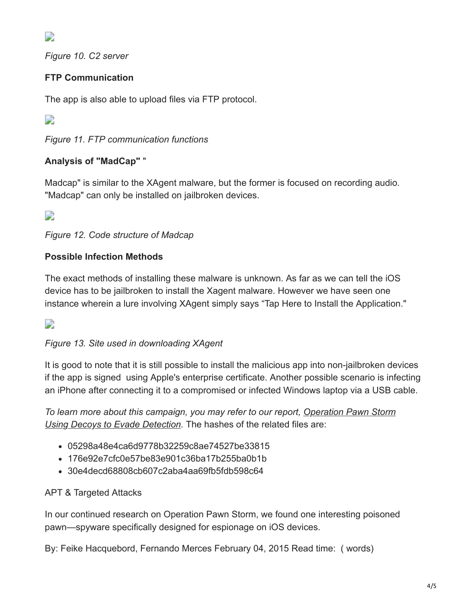D

*Figure 10. C2 server*

## **FTP Communication**

The app is also able to upload files via FTP protocol.

 $\Box$ 

*Figure 11. FTP communication functions*

## **Analysis of "MadCap"** "

Madcap" is similar to the XAgent malware, but the former is focused on recording audio. "Madcap" can only be installed on jailbroken devices.

 $\Box$ 

*Figure 12. Code structure of Madcap*

## **Possible Infection Methods**

The exact methods of installing these malware is unknown. As far as we can tell the iOS device has to be jailbroken to install the Xagent malware. However we have seen one instance wherein a lure involving XAgent simply says "Tap Here to Install the Application."

 $\Box$ 

## *Figure 13. Site used in downloading XAgent*

It is good to note that it is still possible to install the malicious app into non-jailbroken devices if the app is signed using Apple's enterprise certificate. Another possible scenario is infecting an iPhone after connecting it to a compromised or infected Windows laptop via a USB cable.

*[To learn more about this campaign, you may refer to our report, Operation Pawn Storm](http://www.trendmicro.com/vinfo/tmr/?/us/security/news/cyber-attacks/pawn-storm-espionage-attacks-use-decoys-deliver-sednit) Using Decoys to Evade Detection.* The hashes of the related files are:

- 05298a48e4ca6d9778b32259c8ae74527be33815
- 176e92e7cfc0e57be83e901c36ba17b255ba0b1b
- 30e4decd68808cb607c2aba4aa69fb5fdb598c64

### APT & Targeted Attacks

In our continued research on Operation Pawn Storm, we found one interesting poisoned pawn—spyware specifically designed for espionage on iOS devices.

By: Feike Hacquebord, Fernando Merces February 04, 2015 Read time: ( words)